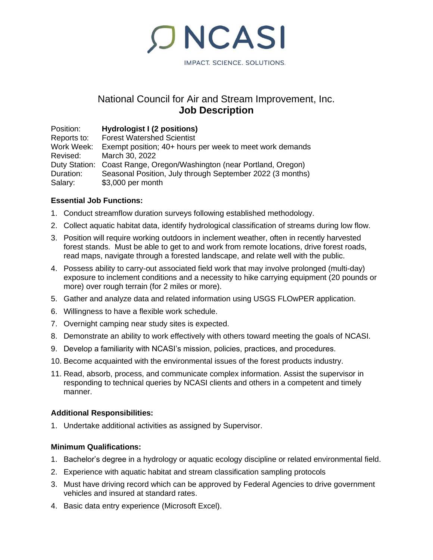IMPACT. SCIENCE. SOLUTIONS.

# National Council for Air and Stream Improvement, Inc. **Job Description**

**ONCASI** 

Position: **Hydrologist I (2 positions) Forest Watershed Scientist** Work Week: Exempt position; 40+ hours per week to meet work demands Revised: March 30, 2022 Duty Station: Coast Range, Oregon/Washington (near Portland, Oregon) Duration: Seasonal Position, July through September 2022 (3 months) Salary: \$3,000 per month

## **Essential Job Functions:**

- 1. Conduct streamflow duration surveys following established methodology.
- 2. Collect aquatic habitat data, identify hydrological classification of streams during low flow.
- 3. Position will require working outdoors in inclement weather, often in recently harvested forest stands. Must be able to get to and work from remote locations, drive forest roads, read maps, navigate through a forested landscape, and relate well with the public.
- 4. Possess ability to carry-out associated field work that may involve prolonged (multi-day) exposure to inclement conditions and a necessity to hike carrying equipment (20 pounds or more) over rough terrain (for 2 miles or more).
- 5. Gather and analyze data and related information using USGS FLOwPER application.
- 6. Willingness to have a flexible work schedule.
- 7. Overnight camping near study sites is expected.
- 8. Demonstrate an ability to work effectively with others toward meeting the goals of NCASI.
- 9. Develop a familiarity with NCASI's mission, policies, practices, and procedures.
- 10. Become acquainted with the environmental issues of the forest products industry.
- 11. Read, absorb, process, and communicate complex information. Assist the supervisor in responding to technical queries by NCASI clients and others in a competent and timely manner.

## **Additional Responsibilities:**

1. Undertake additional activities as assigned by Supervisor.

## **Minimum Qualifications:**

- 1. Bachelor's degree in a hydrology or aquatic ecology discipline or related environmental field.
- 2. Experience with aquatic habitat and stream classification sampling protocols
- 3. Must have driving record which can be approved by Federal Agencies to drive government vehicles and insured at standard rates.
- 4. Basic data entry experience (Microsoft Excel).